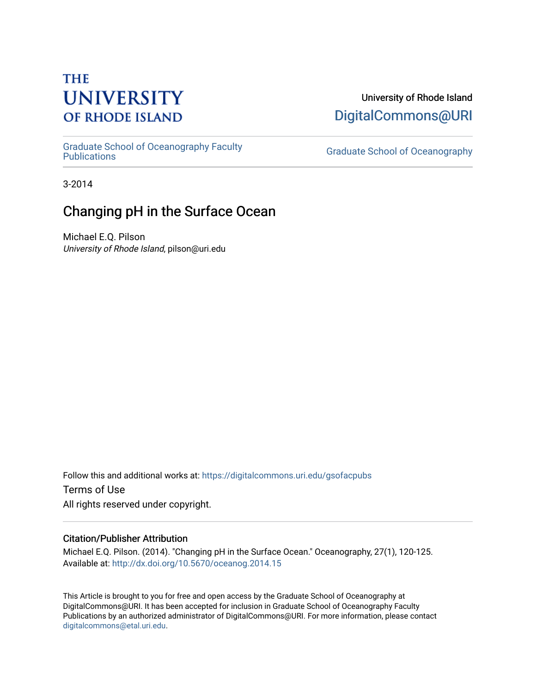# **THE UNIVERSITY OF RHODE ISLAND**

University of Rhode Island [DigitalCommons@URI](https://digitalcommons.uri.edu/) 

[Graduate School of Oceanography Faculty](https://digitalcommons.uri.edu/gsofacpubs) 

**Graduate School of Oceanography** 

3-2014

## Changing pH in the Surface Ocean

Michael E.Q. Pilson University of Rhode Island, pilson@uri.edu

Follow this and additional works at: [https://digitalcommons.uri.edu/gsofacpubs](https://digitalcommons.uri.edu/gsofacpubs?utm_source=digitalcommons.uri.edu%2Fgsofacpubs%2F102&utm_medium=PDF&utm_campaign=PDFCoverPages)  Terms of Use All rights reserved under copyright.

### Citation/Publisher Attribution

Michael E.Q. Pilson. (2014). "Changing pH in the Surface Ocean." Oceanography, 27(1), 120-125. Available at:<http://dx.doi.org/10.5670/oceanog.2014.15>

This Article is brought to you for free and open access by the Graduate School of Oceanography at DigitalCommons@URI. It has been accepted for inclusion in Graduate School of Oceanography Faculty Publications by an authorized administrator of DigitalCommons@URI. For more information, please contact [digitalcommons@etal.uri.edu](mailto:digitalcommons@etal.uri.edu).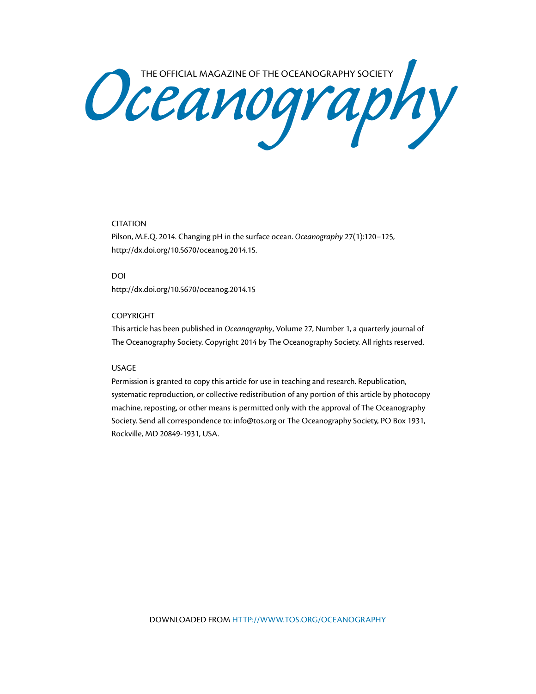Oceanography Society

### CITATION

Pilson, M.E.Q. 2014. Changing pH in the surface ocean. *Oceanography* 27(1):120–125, <http://dx.doi.org/10.5670/oceanog.2014.15>.

DOI

<http://dx.doi.org/10.5670/oceanog.2014.15>

### COPYRIGHT

This article has been published in *Oceanography*, Volume 27, Number 1, a quarterly journal of The Oceanography Society. Copyright 2014 by The Oceanography Society. All rights reserved.

### USAGE

Permission is granted to copy this article for use in teaching and research. Republication, systematic reproduction, or collective redistribution of any portion of this article by photocopy machine, reposting, or other means is permitted only with the approval of The Oceanography Society. Send all correspondence to: [info@tos.org](mailto:info@tos.org) or The Oceanography Society, PO Box 1931, Rockville, MD 20849-1931, USA.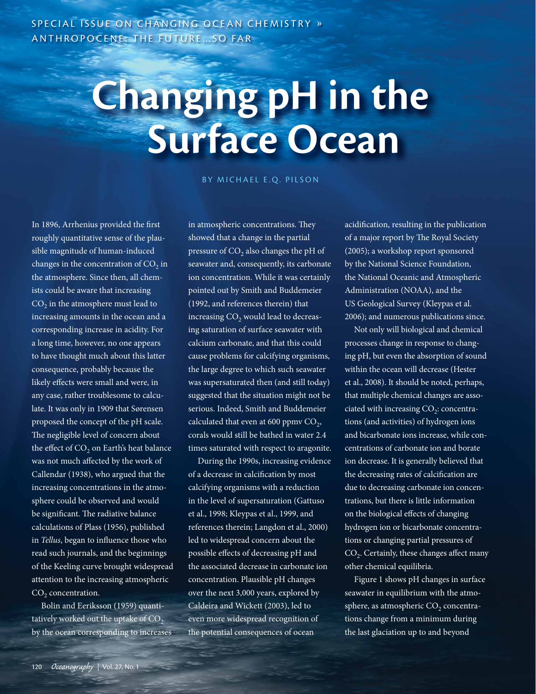SPECIAL ISSUE ON CHANGING OCEAN CHEMISTRY » ANTHROPOCENE: THE FUTURE…SO FAR

# **Changing pH in the Surface Ocean**

BY MICHAEL E.Q. PILSON

In 1896, Arrhenius provided the first roughly quantitative sense of the plausible magnitude of human-induced changes in the concentration of  $CO<sub>2</sub>$  in the atmosphere. Since then, all chemists could be aware that increasing  $CO<sub>2</sub>$  in the atmosphere must lead to increasing amounts in the ocean and a corresponding increase in acidity. For a long time, however, no one appears to have thought much about this latter consequence, probably because the likely effects were small and were, in any case, rather troublesome to calculate. It was only in 1909 that Sørensen proposed the concept of the pH scale. The negligible level of concern about the effect of  $CO<sub>2</sub>$  on Earth's heat balance was not much affected by the work of Callendar (1938), who argued that the increasing concentrations in the atmosphere could be observed and would be significant. The radiative balance calculations of Plass (1956), published in *Tellus*, began to influence those who read such journals, and the beginnings of the Keeling curve brought widespread attention to the increasing atmospheric  $CO<sub>2</sub>$  concentration.

Bolin and Eeriksson (1959) quantitatively worked out the uptake of  $CO<sub>2</sub>$ by the ocean corresponding to increases in atmospheric concentrations. They showed that a change in the partial pressure of  $CO<sub>2</sub>$  also changes the pH of seawater and, consequently, its carbonate ion concentration. While it was certainly pointed out by Smith and Buddemeier (1992, and references therein) that increasing CO<sub>2</sub> would lead to decreasing saturation of surface seawater with calcium carbonate, and that this could cause problems for calcifying organisms, the large degree to which such seawater was supersaturated then (and still today) suggested that the situation might not be serious. Indeed, Smith and Buddemeier calculated that even at 600 ppmv  $CO<sub>2</sub>$ , corals would still be bathed in water 2.4 times saturated with respect to aragonite.

During the 1990s, increasing evidence of a decrease in calcification by most calcifying organisms with a reduction in the level of supersaturation (Gattuso et al., 1998; Kleypas et al., 1999, and references therein; Langdon et al., 2000) led to widespread concern about the possible effects of decreasing pH and the associated decrease in carbonate ion concentration. Plausible pH changes over the next 3,000 years, explored by Caldeira and Wickett (2003), led to even more widespread recognition of the potential consequences of ocean

acidification, resulting in the publication of a major report by The Royal Society (2005); a workshop report sponsored by the National Science Foundation, the National Oceanic and Atmospheric Administration (NOAA), and the US Geological Survey (Kleypas et al. 2006); and numerous publications since.

Not only will biological and chemical processes change in response to changing pH, but even the absorption of sound within the ocean will decrease (Hester et al., 2008). It should be noted, perhaps, that multiple chemical changes are associated with increasing  $CO<sub>2</sub>$ : concentrations (and activities) of hydrogen ions and bicarbonate ions increase, while concentrations of carbonate ion and borate ion decrease. It is generally believed that the decreasing rates of calcification are due to decreasing carbonate ion concentrations, but there is little information on the biological effects of changing hydrogen ion or bicarbonate concentrations or changing partial pressures of  $CO<sub>2</sub>$ . Certainly, these changes affect many other chemical equilibria.

Figure 1 shows pH changes in surface seawater in equilibrium with the atmosphere, as atmospheric  $CO<sub>2</sub>$  concentrations change from a minimum during the last glaciation up to and beyond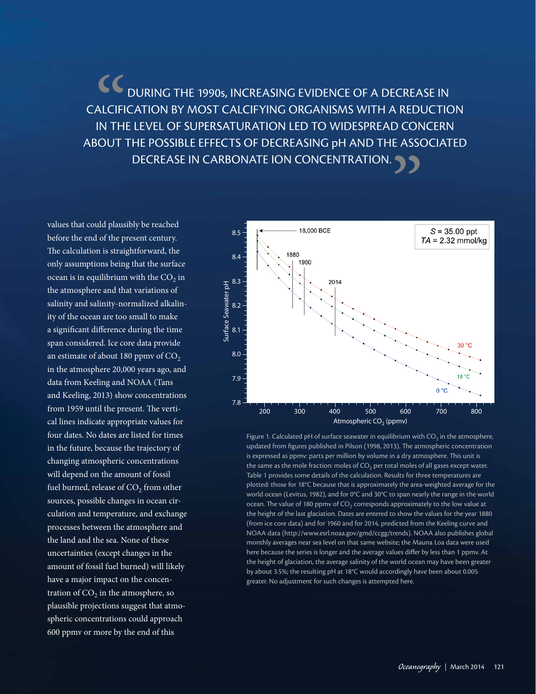**CC**<br>ALCIFI<br>IN THI DURING THE 1990s, INCREASING EVIDENCE OF A DECREASE IN CALCIFICATION BY MOST CALCIFYING ORGANISMS WITH A REDUCTION IN THE LEVEL OF SUPERSATURATION LED TO WIDESPREAD CONCERN ABOUT THE POSSIBLE EFFECTS OF DECREASING pH AND THE ASSOCIATED DECREASE IN CARBONATE ION CONCENTRATION. .

values that could plausibly be reached before the end of the present century. The calculation is straightforward, the only assumptions being that the surface ocean is in equilibrium with the  $CO<sub>2</sub>$  in the atmosphere and that variations of salinity and salinity-normalized alkalinity of the ocean are too small to make a significant difference during the time span considered. Ice core data provide an estimate of about 180 ppmv of  $CO<sub>2</sub>$ in the atmosphere 20,000 years ago, and data from Keeling and NOAA (Tans and Keeling, 2013) show concentrations from 1959 until the present. The vertical lines indicate appropriate values for four dates. No dates are listed for times in the future, because the trajectory of changing atmospheric concentrations will depend on the amount of fossil fuel burned, release of  $CO<sub>2</sub>$  from other sources, possible changes in ocean circulation and temperature, and exchange processes between the atmosphere and the land and the sea. None of these uncertainties (except changes in the amount of fossil fuel burned) will likely have a major impact on the concentration of  $CO<sub>2</sub>$  in the atmosphere, so plausible projections suggest that atmospheric concentrations could approach 600 ppmv or more by the end of this



Figure 1. Calculated pH of surface seawater in equilibrium with  $CO<sub>2</sub>$  in the atmosphere, updated from figures published in Pilson (1998, 2013). The atmospheric concentration is expressed as ppmv: parts per million by volume in a dry atmosphere. This unit is the same as the mole fraction: moles of  $CO<sub>2</sub>$  per total moles of all gases except water. Table 1 provides some details of the calculation. Results for three temperatures are plotted: those for 18°C because that is approximately the area-weighted average for the world ocean (Levitus, 1982), and for 0°C and 30°C to span nearly the range in the world ocean. The value of 180 ppmv of  $CO<sub>2</sub>$  corresponds approximately to the low value at the height of the last glaciation. Dates are entered to show the values for the year 1880 (from ice core data) and for 1960 and for 2014, predicted from the Keeling curve and NOAA data ([http://www.esrl.noaa.gov/gmd/ccgg/trends\)](http://www.esrl.noaa.gov/gmd/ccgg/trends). NOAA also publishes global monthly averages near sea level on that same website; the Mauna Loa data were used here because the series is longer and the average values differ by less than 1 ppmv. At the height of glaciation, the average salinity of the world ocean may have been greater by about 3.5%; the resulting pH at 18°C would accordingly have been about 0.005 greater. No adjustment for such changes is attempted here.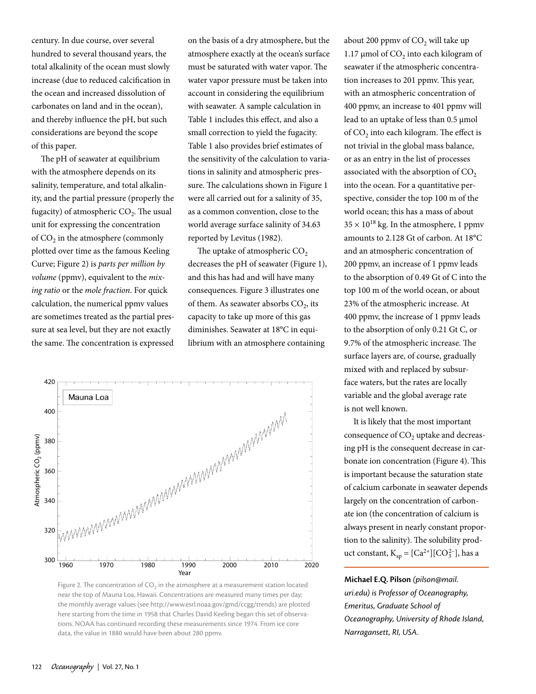century. In due course, over several hundred to several thousand years, the total alkalinity of the ocean must slowly increase (due to reduced calcification in the ocean and increased dissolution of carbonates on land and in the ocean), and thereby influence the pH, but such considerations are beyond the scope of this paper.

The pH of seawater at equilibrium with the atmosphere depends on its salinity, temperature, and total alkalinity, and the partial pressure (properly the fugacity) of atmospheric  $CO<sub>2</sub>$ . The usual unit for expressing the concentration of  $CO<sub>2</sub>$  in the atmosphere (commonly plotted over time as the famous Keeling Curve; Figure 2) is *parts per million by volume* (ppmv), equivalent to the *mixing ratio* or the *mole fraction*. For quick calculation, the numerical ppmv values are sometimes treated as the partial pressure at sea level, but they are not exactly the same. The concentration is expressed on the basis of a dry atmosphere, but the atmosphere exactly at the ocean's surface must be saturated with water vapor. The water vapor pressure must be taken into account in considering the equilibrium with seawater. A sample calculation in Table 1 includes this effect, and also a small correction to yield the fugacity. Table 1 also provides brief estimates of the sensitivity of the calculation to variations in salinity and atmospheric pressure. The calculations shown in Figure 1 were all carried out for a salinity of 35, as a common convention, close to the world average surface salinity of 34.63 reported by Levitus (1982).

The uptake of atmospheric  $CO<sub>2</sub>$ decreases the pH of seawater (Figure 1), and this has had and will have many consequences. Figure 3 illustrates one of them. As seawater absorbs  $CO<sub>2</sub>$ , its capacity to take up more of this gas diminishes. Seawater at 18°C in equilibrium with an atmosphere containing



Figure 2. The concentration of  $CO<sub>2</sub>$  in the atmosphere at a measurement station located near the top of Mauna Loa, Hawaii. Concentrations are measured many times per day; the monthly average values (see [http://www.esrl.noaa.gov/gmd/ccgg/trends\)](http://www.esrl.noaa.gov/gmd/ccgg/trends) are plotted here starting from the time in 1958 that Charles David Keeling began this set of observations. NOAA has continued recording these measurements since 1974. From ice core data, the value in 1880 would have been about 280 ppmv.

about 200 ppmv of  $CO<sub>2</sub>$  will take up 1.17  $\mu$ mol of CO<sub>2</sub> into each kilogram of seawater if the atmospheric concentration increases to 201 ppmv. This year, with an atmospheric concentration of 400 ppmv, an increase to 401 ppmv will lead to an uptake of less than 0.5 µmol of  $CO<sub>2</sub>$  into each kilogram. The effect is not trivial in the global mass balance, or as an entry in the list of processes associated with the absorption of  $CO<sub>2</sub>$ into the ocean. For a quantitative perspective, consider the top 100 m of the world ocean; this has a mass of about  $35 \times 10^{18}$  kg. In the atmosphere, 1 ppmv amounts to 2.128 Gt of carbon. At 18°C and an atmospheric concentration of 200 ppmv, an increase of 1 ppmv leads to the absorption of 0.49 Gt of C into the top 100 m of the world ocean, or about 23% of the atmospheric increase. At 400 ppmv, the increase of 1 ppmv leads to the absorption of only 0.21 Gt C, or 9.7% of the atmospheric increase. The surface layers are, of course, gradually mixed with and replaced by subsurface waters, but the rates are locally variable and the global average rate is not well known.

It is likely that the most important consequence of CO<sub>2</sub> uptake and decreasing pH is the consequent decrease in carbonate ion concentration (Figure 4). This is important because the saturation state of calcium carbonate in seawater depends largely on the concentration of carbonate ion (the concentration of calcium is always present in nearly constant proportion to the salinity). The solubility product constant,  $K_{sp} = [Ca^{2+}][CO_3^{2-}]$ , has a

**Michael E.Q. Pilson** *[\(pilson@mail.](mailto:pilson@mail.uri.edu) [uri.edu\)](mailto:pilson@mail.uri.edu) is Professor of Oceanography, Emeritus, Graduate School of Oceanography, University of Rhode Island, Narragansett, RI, USA.*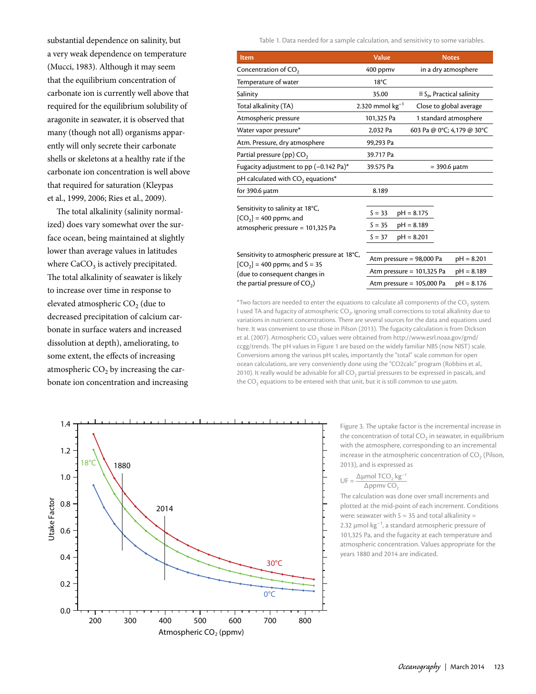substantial dependence on salinity, but a very weak dependence on temperature (Mucci, 1983). Although it may seem that the equilibrium concentration of carbonate ion is currently well above that required for the equilibrium solubility of aragonite in seawater, it is observed that many (though not all) organisms apparently will only secrete their carbonate shells or skeletons at a healthy rate if the carbonate ion concentration is well above that required for saturation (Kleypas et al., 1999, 2006; Ries et al., 2009).

The total alkalinity (salinity normalized) does vary somewhat over the surface ocean, being maintained at slightly lower than average values in latitudes where  $CaCO<sub>3</sub>$  is actively precipitated. The total alkalinity of seawater is likely to increase over time in response to elevated atmospheric CO<sub>2</sub> (due to decreased precipitation of calcium carbonate in surface waters and increased dissolution at depth), ameliorating, to some extent, the effects of increasing atmospheric  $CO<sub>2</sub>$  by increasing the carbonate ion concentration and increasing Table 1. Data needed for a sample calculation, and sensitivity to some variables.

| <b>Item</b>                                                                                                                                        | <b>Value</b>                     | <b>Notes</b>                                                                                               |
|----------------------------------------------------------------------------------------------------------------------------------------------------|----------------------------------|------------------------------------------------------------------------------------------------------------|
| Concentration of $CO2$                                                                                                                             | 400 ppmv                         | in a dry atmosphere                                                                                        |
| Temperature of water                                                                                                                               | $18^{\circ}$ C                   |                                                                                                            |
| Salinity                                                                                                                                           | 35.00                            | $\equiv$ S <sub>p</sub> , Practical salinity                                                               |
| Total alkalinity (TA)                                                                                                                              | 2.320 mmol $kg^{-1}$             | Close to global average                                                                                    |
| Atmospheric pressure                                                                                                                               | 101,325 Pa                       | 1 standard atmosphere                                                                                      |
| Water vapor pressure*                                                                                                                              | 2,032 Pa                         | 603 Pa @ 0°C; 4,179 @ 30°C                                                                                 |
| Atm. Pressure, dry atmosphere                                                                                                                      | 99,293 Pa                        |                                                                                                            |
| Partial pressure (pp) $CO2$                                                                                                                        | 39.717 Pa                        |                                                                                                            |
| Fugacity adjustment to pp (-0.142 Pa)*                                                                                                             | 39.575 Pa                        | $=$ 390.6 $\mu$ atm                                                                                        |
| pH calculated with CO <sub>2</sub> equations*                                                                                                      |                                  |                                                                                                            |
| for $390.6 \mu atm$                                                                                                                                | 8.189                            |                                                                                                            |
| Sensitivity to salinity at 18°C,<br>$[CO2] = 400$ ppmv, and<br>atmospheric pressure = 101,325 Pa                                                   | $S = 33$<br>$S = 35$<br>$S = 37$ | $pH = 8.175$<br>$pH = 8.189$<br>$pH = 8.201$                                                               |
| Sensitivity to atmospheric pressure at 18°C,<br>$[CO2]$ = 400 ppmv, and S = 35<br>(due to consequent changes in<br>the partial pressure of $CO2$ ) | Atm pressure = 98,000 Pa         | $pH = 8.201$<br>$pH = 8.189$<br>Atm pressure $= 101,325$ Pa<br>Atm pressure $= 105,000$ Pa<br>$pH = 8.176$ |

\*Two factors are needed to enter the equations to calculate all components of the  $CO<sub>2</sub>$  system. I used TA and fugacity of atmospheric CO<sub>2</sub>, ignoring small corrections to total alkalinity due to variations in nutrient concentrations. There are several sources for the data and equations used here. It was convenient to use those in Pilson (2013). The fugacity calculation is from Dickson et al. (2007). Atmospheric CO<sub>2</sub> values were obtained from [http://www.esrl.noaa.gov/gmd/](http://www.esrl.noaa.gov/gmd/ccgg/trends) [ccgg/trends.](http://www.esrl.noaa.gov/gmd/ccgg/trends) The pH values in Figure 1 are based on the widely familiar NBS (now NIST) scale. Conversions among the various pH scales, importantly the "total" scale common for open ocean calculations, are very conveniently done using the "CO2calc" program (Robbins et al., 2010). It really would be advisable for all  $CO<sub>2</sub>$  partial pressures to be expressed in pascals, and the  $CO<sub>2</sub>$  equations to be entered with that unit, but it is still common to use µatm.



Figure 3. The uptake factor is the incremental increase in the concentration of total  $CO<sub>2</sub>$  in seawater, in equilibrium with the atmosphere, corresponding to an incremental increase in the atmospheric concentration of  $CO<sub>2</sub>$  (Pilson, 2013), and is expressed as

$$
UF = \frac{\Delta \mu mol TCO_2 kg^{-1}}{\Delta ppmv CO_2}
$$

The calculation was done over small increments and plotted at the mid-point of each increment. Conditions were: seawater with *S* = 35 and total alkalinity = 2.32  $\mu$ mol kg<sup>-1</sup>, a standard atmospheric pressure of 101,325 Pa, and the fugacity at each temperature and atmospheric concentration. Values appropriate for the years 1880 and 2014 are indicated.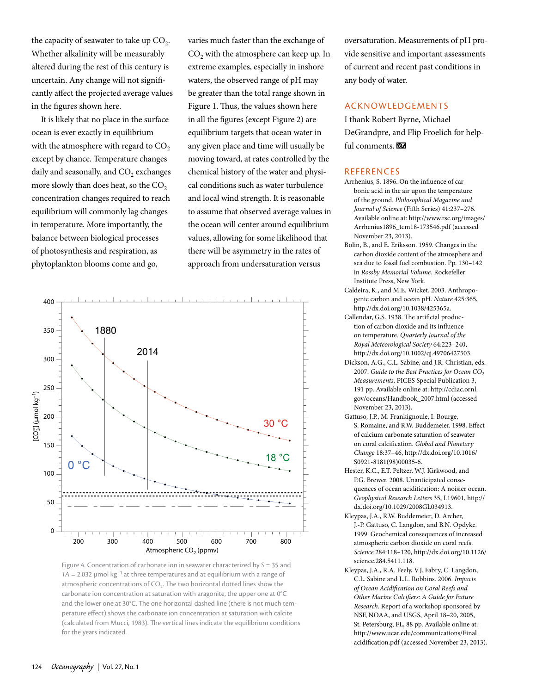the capacity of seawater to take up  $CO<sub>2</sub>$ . Whether alkalinity will be measurably altered during the rest of this century is uncertain. Any change will not significantly affect the projected average values in the figures shown here.

It is likely that no place in the surface ocean is ever exactly in equilibrium with the atmosphere with regard to  $CO<sub>2</sub>$ except by chance. Temperature changes daily and seasonally, and CO<sub>2</sub> exchanges more slowly than does heat, so the  $CO<sub>2</sub>$ concentration changes required to reach equilibrium will commonly lag changes in temperature. More importantly, the balance between biological processes of photosynthesis and respiration, as phytoplankton blooms come and go,

varies much faster than the exchange of CO<sub>2</sub> with the atmosphere can keep up. In extreme examples, especially in inshore waters, the observed range of pH may be greater than the total range shown in Figure 1. Thus, the values shown here in all the figures (except Figure 2) are equilibrium targets that ocean water in any given place and time will usually be moving toward, at rates controlled by the chemical history of the water and physical conditions such as water turbulence and local wind strength. It is reasonable to assume that observed average values in the ocean will center around equilibrium values, allowing for some likelihood that there will be asymmetry in the rates of approach from undersaturation versus



Figure 4. Concentration of carbonate ion in seawater characterized by *S* = 35 and  $TA = 2.032$  µmol  $kg^{-1}$  at three temperatures and at equilibrium with a range of atmospheric concentrations of  $CO<sub>2</sub>$ . The two horizontal dotted lines show the carbonate ion concentration at saturation with aragonite, the upper one at 0°C and the lower one at 30°C. The one horizontal dashed line (there is not much temperature effect) shows the carbonate ion concentration at saturation with calcite (calculated from Mucci, 1983). The vertical lines indicate the equilibrium conditions for the years indicated.

oversaturation. Measurements of pH provide sensitive and important assessments of current and recent past conditions in any body of water.

### ACKNOWLEDGEMENTS

I thank Robert Byrne, Michael DeGrandpre, and Flip Froelich for helpful comments.

#### REFERENCES

- Arrhenius, S. 1896. On the influence of carbonic acid in the air upon the temperature of the ground. *Philosophical Magazine and Journal of Science* (Fifth Series) 41:237–276. Available online at: [http://www.rsc.org/images/](http://www.rsc.org/images/Arrhenius1896_tcm18-173546.pdf) [Arrhenius1896\\_tcm18-173546.pdf](http://www.rsc.org/images/Arrhenius1896_tcm18-173546.pdf) (accessed November 23, 2013).
- Bolin, B., and E. Eriksson. 1959. Changes in the carbon dioxide content of the atmosphere and sea due to fossil fuel combustion. Pp. 130–142 in *Rossby Memorial Volume*. Rockefeller Institute Press, New York.
- Caldeira, K., and M.E. Wicket. 2003. Anthropogenic carbon and ocean pH. *Nature* 425:365, [http://dx.doi.org/10.1038/425365a.](http://dx.doi.org/10.1038/425365a)
- Callendar, G.S. 1938. The artificial production of carbon dioxide and its influence on temperature. *Quarterly Journal of the Royal Meteorological Society* 64:223–240, <http://dx.doi.org/10.1002/qj.49706427503>.
- Dickson, A.G., C.L. Sabine, and J.R. Christian, eds. 2007. *Guide to the Best Practices for Ocean CO*<sub>2</sub> *Measurements*. PICES Special Publication 3, 191 pp. Available online at: [http://cdiac.ornl.](http://cdiac.ornl.gov/oceans/Handbook_2007.html) [gov/oceans/Handbook\\_2007.html](http://cdiac.ornl.gov/oceans/Handbook_2007.html) (accessed November 23, 2013).
- Gattuso, J.P., M. Frankignoule, I. Bourge, S. Romaine, and R.W. Buddemeier. 1998. Effect of calcium carbonate saturation of seawater on coral calcification. *Global and Planetary Change* 18:37–46, [http://dx.doi.org/10.1016/](http://dx.doi.org/10.1016/S0921-8181(98)00035-6) [S0921-8181\(98\)00035-6.](http://dx.doi.org/10.1016/S0921-8181(98)00035-6)
- Hester, K.C., E.T. Peltzer, W.J. Kirkwood, and P.G. Brewer. 2008. Unanticipated consequences of ocean acidification: A noisier ocean. *Geophysical Research Letters* 35, L19601, [http://](http://dx.doi.org/10.1029/2008GL034913) [dx.doi.org/10.1029/2008GL034913.](http://dx.doi.org/10.1029/2008GL034913)
- Kleypas, J.A., R.W. Buddemeier, D. Archer, J.-P. Gattuso, C. Langdon, and B.N. Opdyke. 1999. Geochemical consequences of increased atmospheric carbon dioxide on coral reefs. *Science* 284:118–120, [http://dx.doi.org/10.1126/](http://dx.doi.org/10.1126/science.284.5411.118) [science.284.5411.118](http://dx.doi.org/10.1126/science.284.5411.118).
- Kleypas, J.A., R.A. Feely, V.J. Fabry, C. Langdon, C.L. Sabine and L.L. Robbins. 2006. *Impacts of Ocean Acidification on Coral Reefs and Other Marine Calcifiers: A Guide for Future Research*. Report of a workshop sponsored by NSF, NOAA, and USGS, April 18–20, 2005, St. Petersburg, FL, 88 pp. Available online at: [http://www.ucar.edu/communications/Final\\_](http://www.ucar.edu/communications/Final_acidification.pdf) [acidification.pdf](http://www.ucar.edu/communications/Final_acidification.pdf) (accessed November 23, 2013).